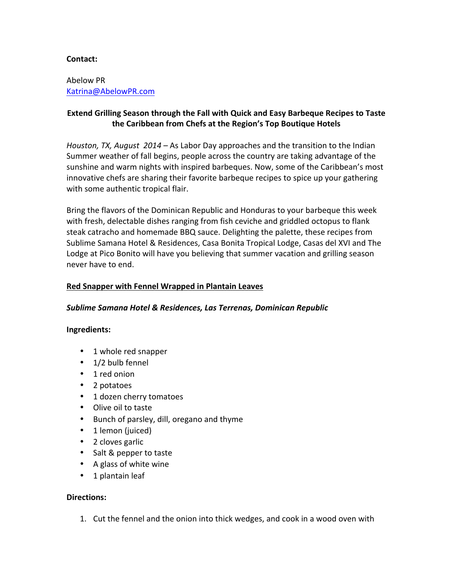# **Contact:**

Abelow PR Katrina@AbelowPR.com

# **Extend Grilling Season through the Fall with Quick and Easy Barbeque Recipes to Taste the Caribbean from Chefs at the Region's Top Boutique Hotels**

*Houston, TX, August 2014 – As Labor Day approaches and the transition to the Indian* Summer weather of fall begins, people across the country are taking advantage of the sunshine and warm nights with inspired barbeques. Now, some of the Caribbean's most innovative chefs are sharing their favorite barbeque recipes to spice up your gathering with some authentic tropical flair.

Bring the flavors of the Dominican Republic and Honduras to your barbeque this week with fresh, delectable dishes ranging from fish ceviche and griddled octopus to flank steak catracho and homemade BBQ sauce. Delighting the palette, these recipes from Sublime Samana Hotel & Residences, Casa Bonita Tropical Lodge, Casas del XVI and The Lodge at Pico Bonito will have you believing that summer vacation and grilling season never have to end.

## **Red Snapper with Fennel Wrapped in Plantain Leaves**

## Sublime Samana Hotel & Residences, Las Terrenas, Dominican Republic

## **Ingredients:**

- 1 whole red snapper
- $\cdot$  1/2 bulb fennel
- 1 red onion
- 2 potatoes
- 1 dozen cherry tomatoes
- Olive oil to taste
- Bunch of parsley, dill, oregano and thyme
- 1 lemon (juiced)
- 2 cloves garlic
- Salt & pepper to taste
- A glass of white wine
- 1 plantain leaf

## **Directions:**

1. Cut the fennel and the onion into thick wedges, and cook in a wood oven with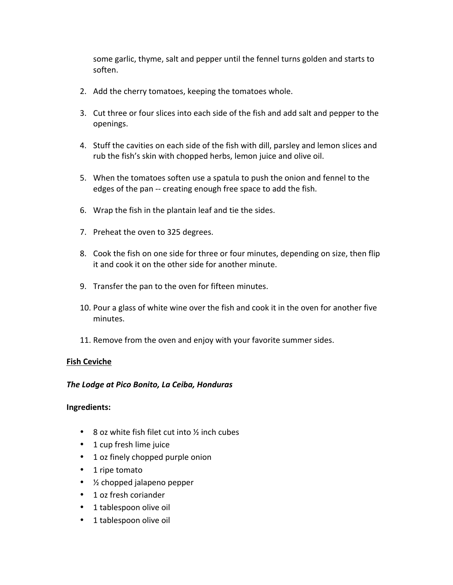some garlic, thyme, salt and pepper until the fennel turns golden and starts to soften.

- 2. Add the cherry tomatoes, keeping the tomatoes whole.
- 3. Cut three or four slices into each side of the fish and add salt and pepper to the openings.
- 4. Stuff the cavities on each side of the fish with dill, parsley and lemon slices and rub the fish's skin with chopped herbs, lemon juice and olive oil.
- 5. When the tomatoes soften use a spatula to push the onion and fennel to the edges of the pan -- creating enough free space to add the fish.
- 6. Wrap the fish in the plantain leaf and tie the sides.
- 7. Preheat the oven to 325 degrees.
- 8. Cook the fish on one side for three or four minutes, depending on size, then flip it and cook it on the other side for another minute.
- 9. Transfer the pan to the oven for fifteen minutes.
- 10. Pour a glass of white wine over the fish and cook it in the oven for another five minutes.
- 11. Remove from the oven and enjoy with your favorite summer sides.

## **Fish Ceviche**

## *The Lodge at Pico Bonito, La Ceiba, Honduras*

## **Ingredients:**

- 8 oz white fish filet cut into  $\frac{1}{2}$  inch cubes
- 1 cup fresh lime juice
- 1 oz finely chopped purple onion
- 1 ripe tomato
- $\bullet$  % chopped jalapeno pepper
- 1 oz fresh coriander
- 1 tablespoon olive oil
- 1 tablespoon olive oil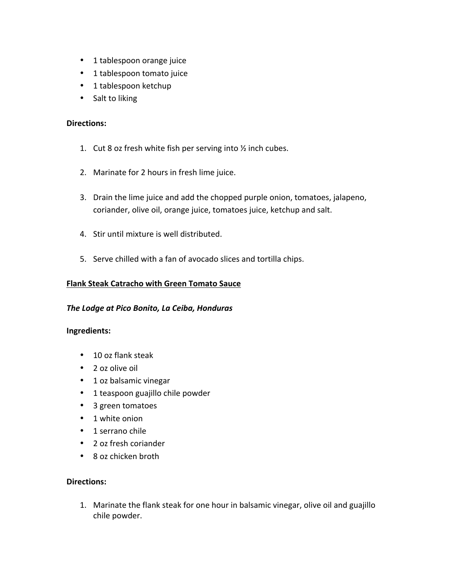- 1 tablespoon orange juice
- 1 tablespoon tomato juice
- 1 tablespoon ketchup
- Salt to liking

#### **Directions:**

- 1. Cut 8 oz fresh white fish per serving into  $\frac{1}{2}$  inch cubes.
- 2. Marinate for 2 hours in fresh lime juice.
- 3. Drain the lime juice and add the chopped purple onion, tomatoes, jalapeno, coriander, olive oil, orange juice, tomatoes juice, ketchup and salt.
- 4. Stir until mixture is well distributed.
- 5. Serve chilled with a fan of avocado slices and tortilla chips.

### **Flank Steak Catracho with Green Tomato Sauce**

#### **The Lodge at Pico Bonito, La Ceiba, Honduras**

#### **Ingredients:**

- 10 oz flank steak
- 2 oz olive oil
- 1 oz balsamic vinegar
- 1 teaspoon guajillo chile powder
- 3 green tomatoes
- 1 white onion
- 1 serrano chile
- 2 oz fresh coriander
- 8 oz chicken broth

# **Directions:**

1. Marinate the flank steak for one hour in balsamic vinegar, olive oil and guajillo chile powder.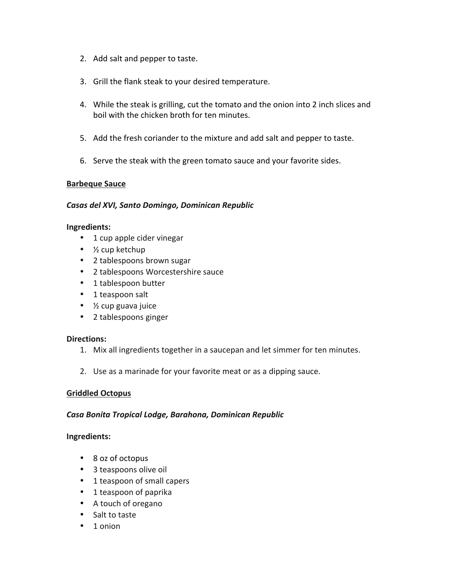- 2. Add salt and pepper to taste.
- 3. Grill the flank steak to your desired temperature.
- 4. While the steak is grilling, cut the tomato and the onion into 2 inch slices and boil with the chicken broth for ten minutes.
- 5. Add the fresh coriander to the mixture and add salt and pepper to taste.
- 6. Serve the steak with the green tomato sauce and your favorite sides.

### **Barbeque Sauce**

### *Casas del XVI, Santo Domingo, Dominican Republic*

#### **Ingredients:**

- 1 cup apple cider vinegar
- $\bullet$  % cup ketchup
- 2 tablespoons brown sugar
- 2 tablespoons Worcestershire sauce
- 1 tablespoon butter
- 1 teaspoon salt
- $\frac{1}{2}$  cup guava juice
- 2 tablespoons ginger

#### **Directions:**

- 1. Mix all ingredients together in a saucepan and let simmer for ten minutes.
- 2. Use as a marinade for your favorite meat or as a dipping sauce.

## **Griddled Octopus**

#### *Casa Bonita Tropical Lodge, Barahona, Dominican Republic*

#### **Ingredients:**

- 8 oz of octopus
- 3 teaspoons olive oil
- 1 teaspoon of small capers
- 1 teaspoon of paprika
- A touch of oregano
- Salt to taste
- 1 onion